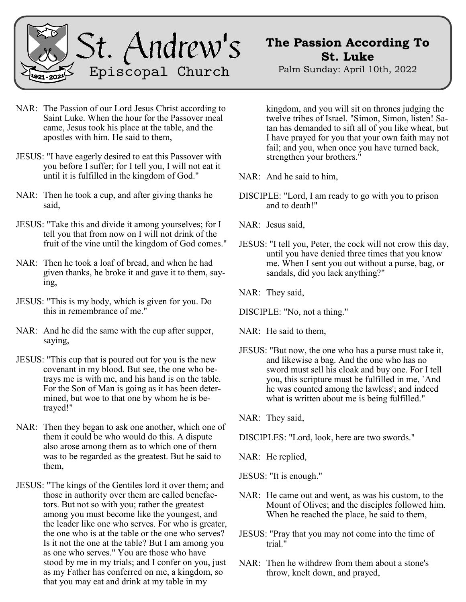

- NAR: The Passion of our Lord Jesus Christ according to Saint Luke. When the hour for the Passover meal came, Jesus took his place at the table, and the apostles with him. He said to them,
- JESUS: "I have eagerly desired to eat this Passover with you before I suffer; for I tell you, I will not eat it until it is fulfilled in the kingdom of God."
- NAR: Then he took a cup, and after giving thanks he said,
- JESUS: "Take this and divide it among yourselves; for I tell you that from now on I will not drink of the fruit of the vine until the kingdom of God comes."
- NAR: Then he took a loaf of bread, and when he had given thanks, he broke it and gave it to them, saying,
- JESUS: "This is my body, which is given for you. Do this in remembrance of me."
- NAR: And he did the same with the cup after supper, saying,
- JESUS: "This cup that is poured out for you is the new covenant in my blood. But see, the one who betrays me is with me, and his hand is on the table. For the Son of Man is going as it has been determined, but woe to that one by whom he is betrayed!"
- NAR: Then they began to ask one another, which one of them it could be who would do this. A dispute also arose among them as to which one of them was to be regarded as the greatest. But he said to them,
- JESUS: "The kings of the Gentiles lord it over them; and those in authority over them are called benefactors. But not so with you; rather the greatest among you must become like the youngest, and the leader like one who serves. For who is greater, the one who is at the table or the one who serves? Is it not the one at the table? But I am among you as one who serves." You are those who have stood by me in my trials; and I confer on you, just as my Father has conferred on me, a kingdom, so that you may eat and drink at my table in my

# **The Passion According To St. Luke**

Palm Sunday: April 10th, 2022

kingdom, and you will sit on thrones judging the twelve tribes of Israel. "Simon, Simon, listen! Satan has demanded to sift all of you like wheat, but I have prayed for you that your own faith may not fail; and you, when once you have turned back, strengthen your brothers."

- NAR: And he said to him,
- DISCIPLE: "Lord, I am ready to go with you to prison and to death!"
- NAR: Jesus said,
- JESUS: "I tell you, Peter, the cock will not crow this day, until you have denied three times that you know me. When I sent you out without a purse, bag, or sandals, did you lack anything?"
- NAR: They said,
- DISCIPLE: "No, not a thing."
- NAR: He said to them,
- JESUS: "But now, the one who has a purse must take it, and likewise a bag. And the one who has no sword must sell his cloak and buy one. For I tell you, this scripture must be fulfilled in me, `And he was counted among the lawless'; and indeed what is written about me is being fulfilled."
- NAR: They said,
- DISCIPLES: "Lord, look, here are two swords."
- NAR: He replied,
- JESUS: "It is enough."
- NAR: He came out and went, as was his custom, to the Mount of Olives; and the disciples followed him. When he reached the place, he said to them,
- JESUS: "Pray that you may not come into the time of trial."
- NAR: Then he withdrew from them about a stone's throw, knelt down, and prayed,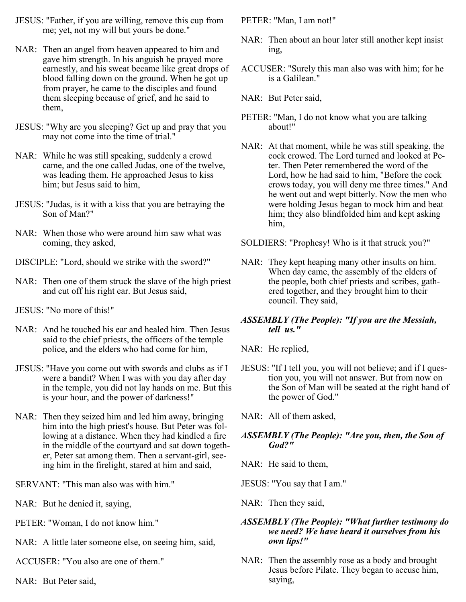- JESUS: "Father, if you are willing, remove this cup from me; yet, not my will but yours be done."
- NAR: Then an angel from heaven appeared to him and gave him strength. In his anguish he prayed more earnestly, and his sweat became like great drops of blood falling down on the ground. When he got up from prayer, he came to the disciples and found them sleeping because of grief, and he said to them,
- JESUS: "Why are you sleeping? Get up and pray that you may not come into the time of trial."
- NAR: While he was still speaking, suddenly a crowd came, and the one called Judas, one of the twelve, was leading them. He approached Jesus to kiss him; but Jesus said to him,
- JESUS: "Judas, is it with a kiss that you are betraying the Son of Man?"
- NAR: When those who were around him saw what was coming, they asked,
- DISCIPLE: "Lord, should we strike with the sword?"
- NAR: Then one of them struck the slave of the high priest and cut off his right ear. But Jesus said,
- JESUS: "No more of this!"
- NAR: And he touched his ear and healed him. Then Jesus said to the chief priests, the officers of the temple police, and the elders who had come for him,
- JESUS: "Have you come out with swords and clubs as if I were a bandit? When I was with you day after day in the temple, you did not lay hands on me. But this is your hour, and the power of darkness!"
- NAR: Then they seized him and led him away, bringing him into the high priest's house. But Peter was following at a distance. When they had kindled a fire in the middle of the courtyard and sat down together, Peter sat among them. Then a servant-girl, seeing him in the firelight, stared at him and said,

SERVANT: "This man also was with him."

- NAR: But he denied it, saying,
- PETER: "Woman, I do not know him."
- NAR: A little later someone else, on seeing him, said,

ACCUSER: "You also are one of them."

NAR: But Peter said,

PETER: "Man, I am not!"

- NAR: Then about an hour later still another kept insist ing,
- ACCUSER: "Surely this man also was with him; for he is a Galilean."
- NAR: But Peter said,
- PETER: "Man, I do not know what you are talking about!"
- NAR: At that moment, while he was still speaking, the cock crowed. The Lord turned and looked at Peter. Then Peter remembered the word of the Lord, how he had said to him, "Before the cock crows today, you will deny me three times." And he went out and wept bitterly. Now the men who were holding Jesus began to mock him and beat him; they also blindfolded him and kept asking him,
- SOLDIERS: "Prophesy! Who is it that struck you?"
- NAR: They kept heaping many other insults on him. When day came, the assembly of the elders of the people, both chief priests and scribes, gathered together, and they brought him to their council. They said,

#### *ASSEMBLY (The People): "If you are the Messiah, tell us."*

NAR: He replied,

- JESUS: "If I tell you, you will not believe; and if I question you, you will not answer. But from now on the Son of Man will be seated at the right hand of the power of God."
- NAR: All of them asked,

#### *ASSEMBLY (The People): "Are you, then, the Son of God?"*

NAR: He said to them,

JESUS: "You say that I am."

NAR: Then they said,

#### *ASSEMBLY (The People): "What further testimony do we need? We have heard it ourselves from his own lips!"*

NAR: Then the assembly rose as a body and brought Jesus before Pilate. They began to accuse him, saying,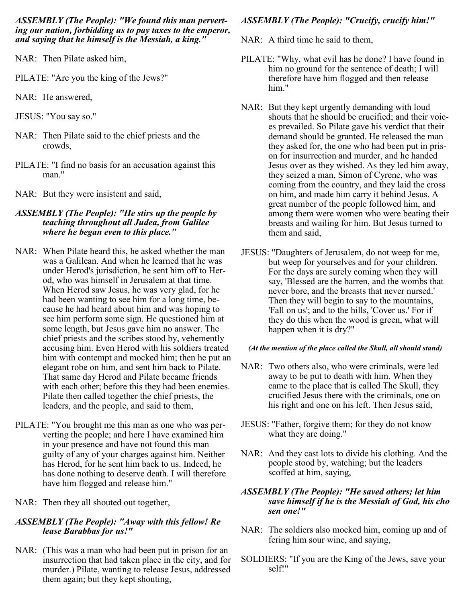*ASSEMBLY (The People): "We found this man perverting our nation, forbidding us to pay taxes to the emperor, and saying that he himself is the Messiah, a king."* 

NAR: Then Pilate asked him,

- PILATE: "Are you the king of the Jews?"
- NAR: He answered,
- JESUS: "You say so."
- NAR: Then Pilate said to the chief priests and the crowds,
- PILATE: "I find no basis for an accusation against this man."
- NAR: But they were insistent and said,

#### *ASSEMBLY (The People): "He stirs up the people by teaching throughout all Judea, from Galilee where he began even to this place."*

- NAR: When Pilate heard this, he asked whether the man was a Galilean. And when he learned that he was under Herod's jurisdiction, he sent him off to Herod, who was himself in Jerusalem at that time. When Herod saw Jesus, he was very glad, for he had been wanting to see him for a long time, because he had heard about him and was hoping to see him perform some sign. He questioned him at some length, but Jesus gave him no answer. The chief priests and the scribes stood by, vehemently accusing him. Even Herod with his soldiers treated him with contempt and mocked him; then he put an elegant robe on him, and sent him back to Pilate. That same day Herod and Pilate became friends with each other; before this they had been enemies. Pilate then called together the chief priests, the leaders, and the people, and said to them,
- PILATE: "You brought me this man as one who was perverting the people; and here I have examined him in your presence and have not found this man guilty of any of your charges against him. Neither has Herod, for he sent him back to us. Indeed, he has done nothing to deserve death. I will therefore have him flogged and release him."
- NAR: Then they all shouted out together,

#### *ASSEMBLY (The People): "Away with this fellow! Re lease Barabbas for us!"*

NAR: (This was a man who had been put in prison for an insurrection that had taken place in the city, and for murder.) Pilate, wanting to release Jesus, addressed them again; but they kept shouting,

## *ASSEMBLY (The People): "Crucify, crucify him!"*

NAR: A third time he said to them,

- PILATE: "Why, what evil has he done? I have found in him no ground for the sentence of death; I will therefore have him flogged and then release him."
- NAR: But they kept urgently demanding with loud shouts that he should be crucified; and their voices prevailed. So Pilate gave his verdict that their demand should be granted. He released the man they asked for, the one who had been put in prison for insurrection and murder, and he handed Jesus over as they wished. As they led him away, they seized a man, Simon of Cyrene, who was coming from the country, and they laid the cross on him, and made him carry it behind Jesus. A great number of the people followed him, and among them were women who were beating their breasts and wailing for him. But Jesus turned to them and said,
- JESUS: "Daughters of Jerusalem, do not weep for me, but weep for yourselves and for your children. For the days are surely coming when they will say, 'Blessed are the barren, and the wombs that never bore, and the breasts that never nursed.' Then they will begin to say to the mountains, 'Fall on us'; and to the hills, 'Cover us.' For if they do this when the wood is green, what will happen when it is dry?"

### *(At the mention of the place called the Skull, all should stand)*

- NAR: Two others also, who were criminals, were led away to be put to death with him. When they came to the place that is called The Skull, they crucified Jesus there with the criminals, one on his right and one on his left. Then Jesus said,
- JESUS: "Father, forgive them; for they do not know what they are doing."
- NAR: And they cast lots to divide his clothing. And the people stood by, watching; but the leaders scoffed at him, saying,

#### *ASSEMBLY (The People): "He saved others; let him save himself if he is the Messiah of God, his cho sen one!"*

- NAR: The soldiers also mocked him, coming up and of fering him sour wine, and saying,
- SOLDIERS: "If you are the King of the Jews, save your self!"